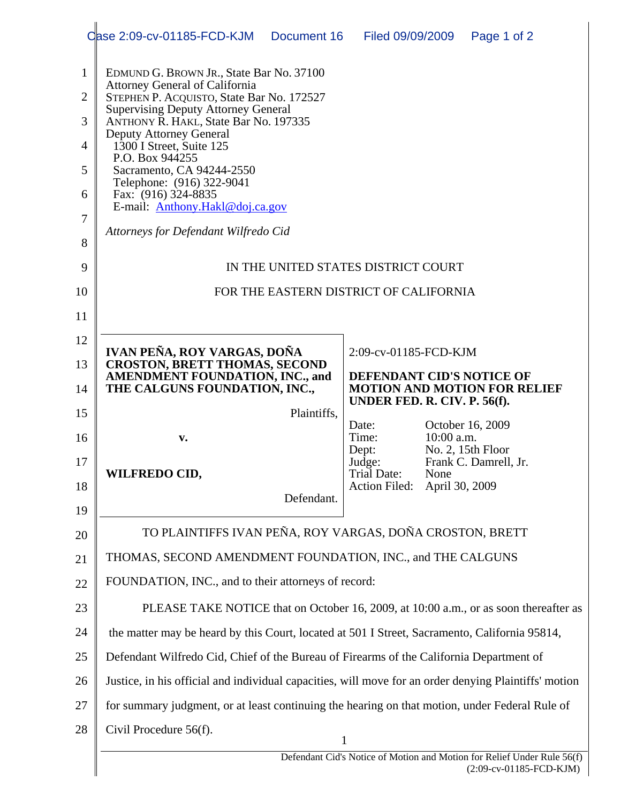|                                                   | Case 2:09-cv-01185-FCD-KJM                                                                                                                                                                                                                                                                                                                                                                                                                                         | Document 16                                                         | Filed 09/09/2009                       |                        | Page 1 of 2             |  |
|---------------------------------------------------|--------------------------------------------------------------------------------------------------------------------------------------------------------------------------------------------------------------------------------------------------------------------------------------------------------------------------------------------------------------------------------------------------------------------------------------------------------------------|---------------------------------------------------------------------|----------------------------------------|------------------------|-------------------------|--|
| 1<br>$\overline{2}$<br>3<br>4<br>5<br>6<br>7<br>8 | EDMUND G. BROWN JR., State Bar No. 37100<br><b>Attorney General of California</b><br>STEPHEN P. ACQUISTO, State Bar No. 172527<br><b>Supervising Deputy Attorney General</b><br>ANTHONY R. HAKL, State Bar No. 197335<br><b>Deputy Attorney General</b><br>1300 I Street, Suite 125<br>P.O. Box 944255<br>Sacramento, CA 94244-2550<br>Telephone: (916) 322-9041<br>Fax: (916) 324-8835<br>E-mail: Anthony.Hakl@doj.ca.gov<br>Attorneys for Defendant Wilfredo Cid |                                                                     |                                        |                        |                         |  |
| 9                                                 | IN THE UNITED STATES DISTRICT COURT                                                                                                                                                                                                                                                                                                                                                                                                                                |                                                                     |                                        |                        |                         |  |
| 10                                                | FOR THE EASTERN DISTRICT OF CALIFORNIA                                                                                                                                                                                                                                                                                                                                                                                                                             |                                                                     |                                        |                        |                         |  |
| 11                                                |                                                                                                                                                                                                                                                                                                                                                                                                                                                                    |                                                                     |                                        |                        |                         |  |
| 12                                                | IVAN PEÑA, ROY VARGAS, DOÑA<br>2:09-cv-01185-FCD-KJM                                                                                                                                                                                                                                                                                                                                                                                                               |                                                                     |                                        |                        |                         |  |
| 13                                                | <b>CROSTON, BRETT THOMAS, SECOND</b><br><b>AMENDMENT FOUNDATION, INC., and</b>                                                                                                                                                                                                                                                                                                                                                                                     | DEFENDANT CID'S NOTICE OF                                           |                                        |                        |                         |  |
| 14                                                | THE CALGUNS FOUNDATION, INC.,                                                                                                                                                                                                                                                                                                                                                                                                                                      | <b>MOTION AND MOTION FOR RELIEF</b><br>UNDER FED. R. CIV. P. 56(f). |                                        |                        |                         |  |
| 15                                                |                                                                                                                                                                                                                                                                                                                                                                                                                                                                    | Plaintiffs,                                                         | Date:                                  |                        | October 16, 2009        |  |
| 16                                                | v.                                                                                                                                                                                                                                                                                                                                                                                                                                                                 |                                                                     | Time:<br>Dept:                         | 10:00 a.m.             | No. 2, 15th Floor       |  |
| 17<br>18<br>19                                    | <b>WILFREDO CID,</b>                                                                                                                                                                                                                                                                                                                                                                                                                                               | Defendant.                                                          | Judge:<br>Trial Date:<br>Action Filed: | None<br>April 30, 2009 | Frank C. Damrell, Jr.   |  |
| 20                                                | TO PLAINTIFFS IVAN PEÑA, ROY VARGAS, DOÑA CROSTON, BRETT                                                                                                                                                                                                                                                                                                                                                                                                           |                                                                     |                                        |                        |                         |  |
| 21                                                | THOMAS, SECOND AMENDMENT FOUNDATION, INC., and THE CALGUNS                                                                                                                                                                                                                                                                                                                                                                                                         |                                                                     |                                        |                        |                         |  |
| 22                                                | FOUNDATION, INC., and to their attorneys of record:                                                                                                                                                                                                                                                                                                                                                                                                                |                                                                     |                                        |                        |                         |  |
| 23                                                | PLEASE TAKE NOTICE that on October 16, 2009, at 10:00 a.m., or as soon thereafter as                                                                                                                                                                                                                                                                                                                                                                               |                                                                     |                                        |                        |                         |  |
| 24                                                | the matter may be heard by this Court, located at 501 I Street, Sacramento, California 95814,                                                                                                                                                                                                                                                                                                                                                                      |                                                                     |                                        |                        |                         |  |
| 25                                                | Defendant Wilfredo Cid, Chief of the Bureau of Firearms of the California Department of                                                                                                                                                                                                                                                                                                                                                                            |                                                                     |                                        |                        |                         |  |
| 26                                                | Justice, in his official and individual capacities, will move for an order denying Plaintiffs' motion                                                                                                                                                                                                                                                                                                                                                              |                                                                     |                                        |                        |                         |  |
| 27                                                | for summary judgment, or at least continuing the hearing on that motion, under Federal Rule of                                                                                                                                                                                                                                                                                                                                                                     |                                                                     |                                        |                        |                         |  |
| 28                                                | Civil Procedure 56(f).                                                                                                                                                                                                                                                                                                                                                                                                                                             |                                                                     | $\mathbf{1}$                           |                        |                         |  |
|                                                   | Defendant Cid's Notice of Motion and Motion for Relief Under Rule 56(f)                                                                                                                                                                                                                                                                                                                                                                                            |                                                                     |                                        |                        |                         |  |
|                                                   |                                                                                                                                                                                                                                                                                                                                                                                                                                                                    |                                                                     |                                        |                        | (2:09-cv-01185-FCD-KJM) |  |